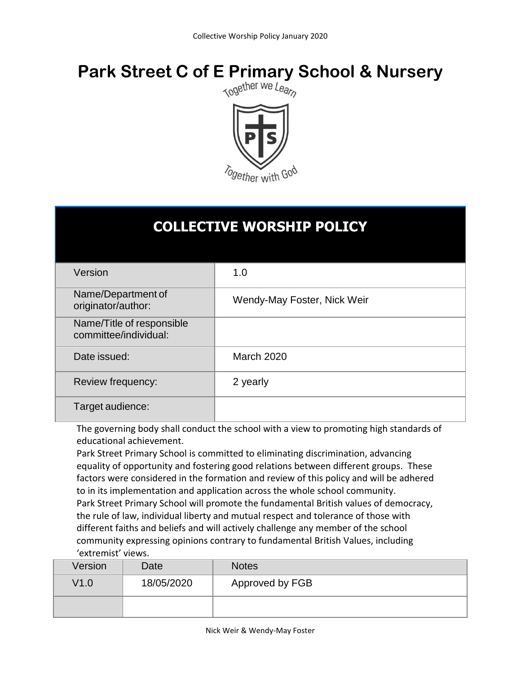# **Park Street C of E Primary School & Nursery**<br>Respublike the Market We Leapp





# **COLLECTIVE WORSHIP POLICY**

| Version                                            | 1.0                         |
|----------------------------------------------------|-----------------------------|
| Name/Department of<br>originator/author:           | Wendy-May Foster, Nick Weir |
| Name/Title of responsible<br>committee/individual: |                             |
| Date issued:                                       | <b>March 2020</b>           |
| Review frequency:                                  | 2 yearly                    |
| Target audience:                                   |                             |

The governing body shall conduct the school with a view to promoting high standards of educational achievement.

Park Street Primary School is committed to eliminating discrimination, advancing equality of opportunity and fostering good relations between different groups. These factors were considered in the formation and review of this policy and will be adhered to in its implementation and application across the whole school community. Park Street Primary School will promote the fundamental British values of democracy, the rule of law, individual liberty and mutual respect and tolerance of those with different faiths and beliefs and will actively challenge any member of the school community expressing opinions contrary to fundamental British Values, including 'extremist' views.

| Version | Date       | <b>Notes</b>    |
|---------|------------|-----------------|
| V1.0    | 18/05/2020 | Approved by FGB |
|         |            |                 |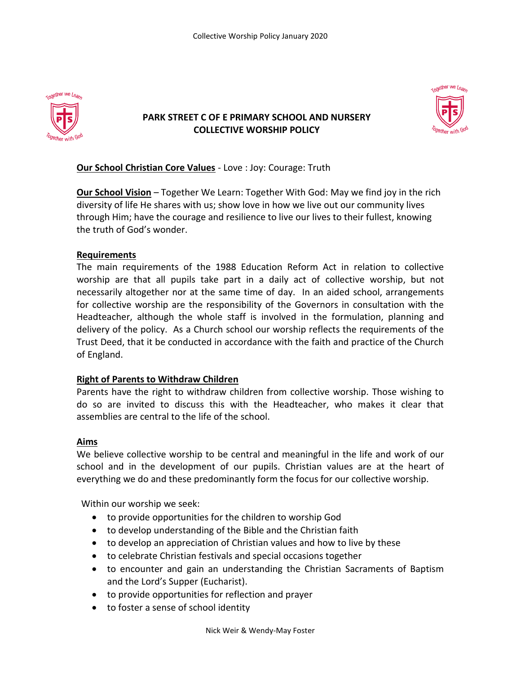

## **PARK STREET C OF E PRIMARY SCHOOL AND NURSERY COLLECTIVE WORSHIP POLICY**



### **Our School Christian Core Values** - Love : Joy: Courage: Truth

**Our School Vision** – Together We Learn: Together With God: May we find joy in the rich diversity of life He shares with us; show love in how we live out our community lives through Him; have the courage and resilience to live our lives to their fullest, knowing the truth of God's wonder.

#### **Requirements**

The main requirements of the 1988 Education Reform Act in relation to collective worship are that all pupils take part in a daily act of collective worship, but not necessarily altogether nor at the same time of day. In an aided school, arrangements for collective worship are the responsibility of the Governors in consultation with the Headteacher, although the whole staff is involved in the formulation, planning and delivery of the policy. As a Church school our worship reflects the requirements of the Trust Deed, that it be conducted in accordance with the faith and practice of the Church of England.

#### **Right of Parents to Withdraw Children**

Parents have the right to withdraw children from collective worship. Those wishing to do so are invited to discuss this with the Headteacher, who makes it clear that assemblies are central to the life of the school.

#### **Aims**

We believe collective worship to be central and meaningful in the life and work of our school and in the development of our pupils. Christian values are at the heart of everything we do and these predominantly form the focus for our collective worship.

Within our worship we seek:

- to provide opportunities for the children to worship God
- to develop understanding of the Bible and the Christian faith
- to develop an appreciation of Christian values and how to live by these
- to celebrate Christian festivals and special occasions together
- to encounter and gain an understanding the Christian Sacraments of Baptism and the Lord's Supper (Eucharist).
- to provide opportunities for reflection and prayer
- to foster a sense of school identity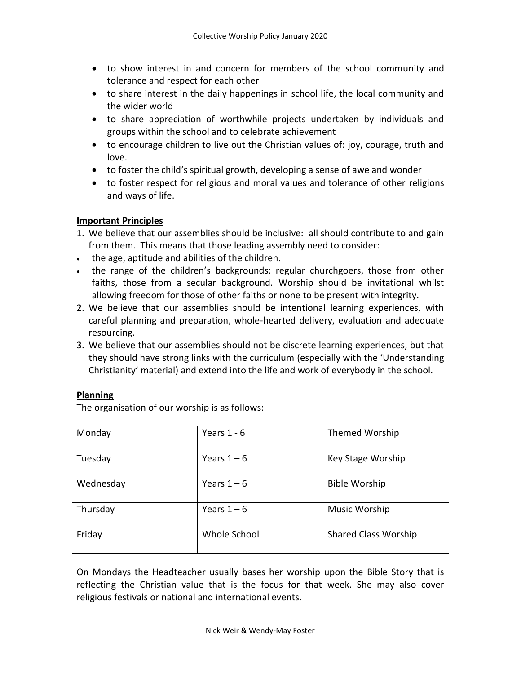- to show interest in and concern for members of the school community and tolerance and respect for each other
- to share interest in the daily happenings in school life, the local community and the wider world
- to share appreciation of worthwhile projects undertaken by individuals and groups within the school and to celebrate achievement
- to encourage children to live out the Christian values of: joy, courage, truth and love.
- to foster the child's spiritual growth, developing a sense of awe and wonder
- to foster respect for religious and moral values and tolerance of other religions and ways of life.

#### **Important Principles**

- 1. We believe that our assemblies should be inclusive: all should contribute to and gain from them. This means that those leading assembly need to consider:
- . the age, aptitude and abilities of the children.
- the range of the children's backgrounds: regular churchgoers, those from other faiths, those from a secular background. Worship should be invitational whilst allowing freedom for those of other faiths or none to be present with integrity.
- 2. We believe that our assemblies should be intentional learning experiences, with careful planning and preparation, whole-hearted delivery, evaluation and adequate resourcing.
- 3. We believe that our assemblies should not be discrete learning experiences, but that they should have strong links with the curriculum (especially with the 'Understanding Christianity' material) and extend into the life and work of everybody in the school.

#### **Planning**

The organisation of our worship is as follows:

| Monday    | Years $1 - 6$ | Themed Worship              |
|-----------|---------------|-----------------------------|
| Tuesday   | Years $1-6$   | Key Stage Worship           |
| Wednesday | Years $1-6$   | <b>Bible Worship</b>        |
| Thursday  | Years $1-6$   | <b>Music Worship</b>        |
| Friday    | Whole School  | <b>Shared Class Worship</b> |

On Mondays the Headteacher usually bases her worship upon the Bible Story that is reflecting the Christian value that is the focus for that week. She may also cover religious festivals or national and international events.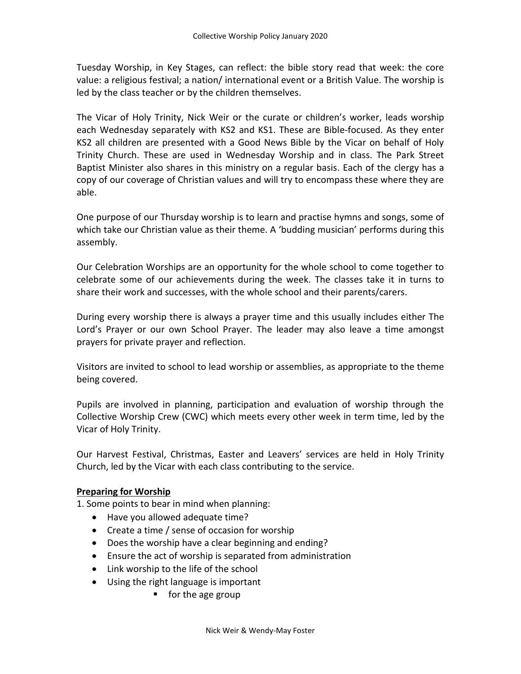Tuesday Worship, in Key Stages, can reflect: the bible story read that week: the core value: a religious festival; a nation/ international event or a British Value. The worship is led by the class teacher or by the children themselves.

The Vicar of Holy Trinity, Nick Weir or the curate or children's worker, leads worship each Wednesday separately with KS2 and KS1. These are Bible-focused. As they enter KS2 all children are presented with a Good News Bible by the Vicar on behalf of Holy Trinity Church. These are used in Wednesday Worship and in class. The Park Street Baptist Minister also shares in this ministry on a regular basis. Each of the clergy has a copy of our coverage of Christian values and will try to encompass these where they are able.

One purpose of our Thursday worship is to learn and practise hymns and songs, some of which take our Christian value as their theme. A 'budding musician' performs during this assembly.

Our Celebration Worships are an opportunity for the whole school to come together to celebrate some of our achievements during the week. The classes take it in turns to share their work and successes, with the whole school and their parents/carers.

During every worship there is always a prayer time and this usually includes either The Lord's Prayer or our own School Prayer. The leader may also leave a time amongst prayers for private prayer and reflection.

Visitors are invited to school to lead worship or assemblies, as appropriate to the theme being covered.

Pupils are involved in planning, participation and evaluation of worship through the Collective Worship Crew (CWC) which meets every other week in term time, led by the Vicar of Holy Trinity.

Our Harvest Festival, Christmas, Easter and Leavers' services are held in Holy Trinity Church, led by the Vicar with each class contributing to the service.

#### **Preparing for Worship**

1. Some points to bear in mind when planning:

- Have you allowed adequate time?
- Create a time / sense of occasion for worship
- Does the worship have a clear beginning and ending?
- Ensure the act of worship is separated from administration
- Link worship to the life of the school
- Using the right language is important
	- $\blacksquare$  for the age group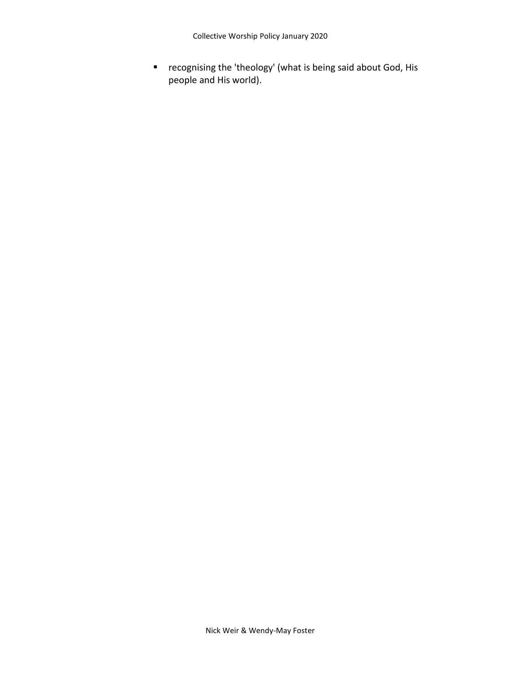recognising the 'theology' (what is being said about God, His people and His world).